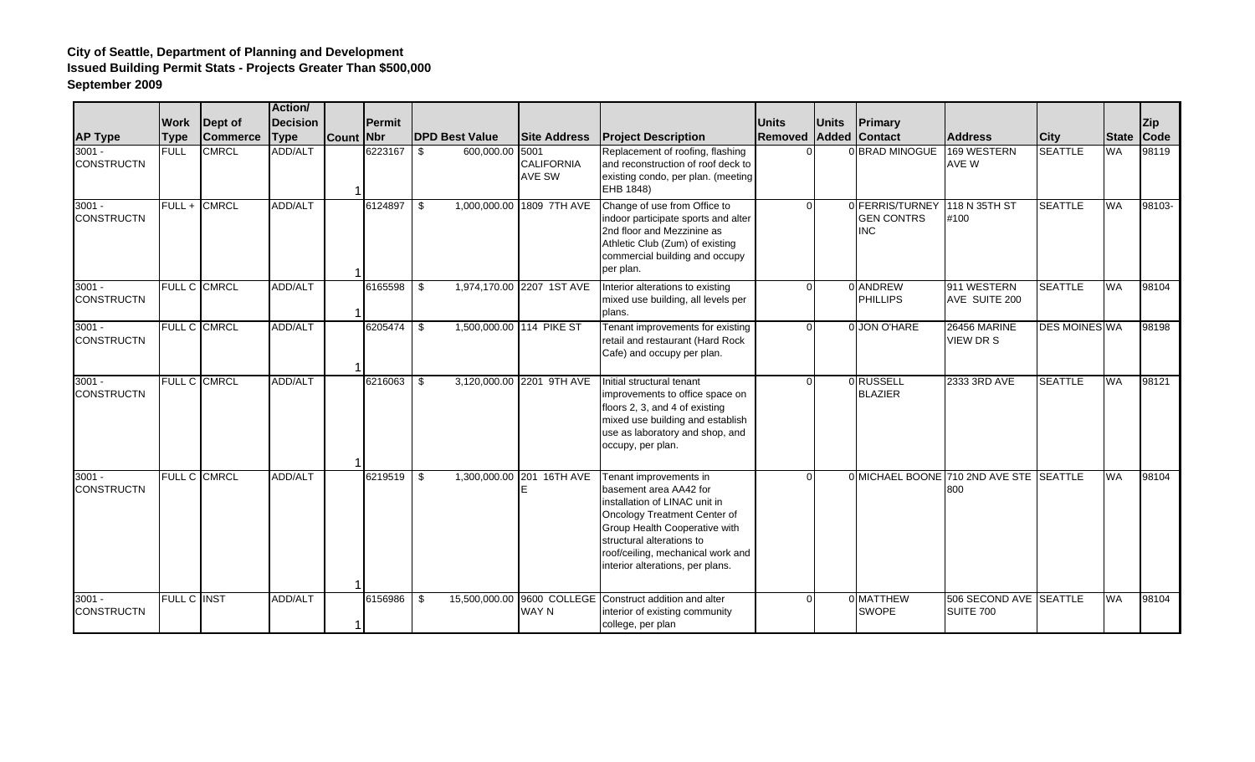|                               |                     |                 | Action/        |           |         |                         |                                    |                                                                                                                                                                                                                                                          |                              |              |                                                    |                                                |                      |           |            |
|-------------------------------|---------------------|-----------------|----------------|-----------|---------|-------------------------|------------------------------------|----------------------------------------------------------------------------------------------------------------------------------------------------------------------------------------------------------------------------------------------------------|------------------------------|--------------|----------------------------------------------------|------------------------------------------------|----------------------|-----------|------------|
|                               | <b>Work</b>         | Dept of         | Decision       |           | Permit  |                         |                                    |                                                                                                                                                                                                                                                          | <b>Units</b>                 | <b>Units</b> | Primary                                            |                                                |                      |           | <b>Zip</b> |
| <b>AP Type</b>                | <b>Type</b>         | <b>Commerce</b> | <b>Type</b>    | Count Nbr |         | <b>DPD Best Value</b>   | <b>Site Address</b>                | <b>Project Description</b>                                                                                                                                                                                                                               | <b>Removed Added Contact</b> |              |                                                    | <b>Address</b>                                 | <b>City</b>          |           | State Code |
| $3001 -$<br><b>CONSTRUCTN</b> | <b>FULL</b>         | <b>CMRCL</b>    | <b>ADD/ALT</b> |           | 6223167 | 600,000.00 5001<br>- \$ | <b>CALIFORNIA</b><br><b>AVE SW</b> | Replacement of roofing, flashing<br>and reconstruction of roof deck to<br>existing condo, per plan. (meeting<br>EHB 1848)                                                                                                                                |                              |              | 0 BRAD MINOGUE                                     | 169 WESTERN<br>AVE W                           | <b>SEATTLE</b>       | WA        | 98119      |
| $3001 -$<br><b>CONSTRUCTN</b> | FULL + CMRCL        |                 | <b>ADD/ALT</b> |           | 6124897 | -\$<br>1,000,000.00     | <b>1809 7TH AVE</b>                | Change of use from Office to<br>indoor participate sports and alter<br>2nd floor and Mezzinine as<br>Athletic Club (Zum) of existing<br>commercial building and occupy<br>per plan.                                                                      | $\Omega$                     |              | 0 FERRIS/TURNEY<br><b>GEN CONTRS</b><br><b>INC</b> | 118 N 35TH ST<br>#100                          | <b>SEATTLE</b>       | <b>WA</b> | 98103-     |
| $3001 -$<br><b>CONSTRUCTN</b> | <b>FULL C CMRCL</b> |                 | <b>ADD/ALT</b> |           | 6165598 | - \$                    | 1,974,170.00 2207 1ST AVE          | Interior alterations to existing<br>mixed use building, all levels per<br>plans.                                                                                                                                                                         |                              |              | 0 ANDREW<br><b>PHILLIPS</b>                        | 911 WESTERN<br>AVE SUITE 200                   | <b>SEATTLE</b>       | <b>WA</b> | 98104      |
| $3001 -$<br><b>CONSTRUCTN</b> |                     | FULL C CMRCL    | <b>ADD/ALT</b> |           | 6205474 | - \$                    | 1,500,000.00 114 PIKE ST           | Tenant improvements for existing<br>retail and restaurant (Hard Rock<br>Cafe) and occupy per plan.                                                                                                                                                       | $\Omega$                     |              | 0 JON O'HARE                                       | <b>26456 MARINE</b><br><b>VIEW DR S</b>        | <b>DES MOINES WA</b> |           | 98198      |
| $3001 -$<br><b>CONSTRUCTN</b> |                     | FULL C CMRCL    | ADD/ALT        |           | 6216063 | - \$                    | 3,120,000.00 2201 9TH AVE          | Initial structural tenant<br>improvements to office space on<br>floors 2, 3, and 4 of existing<br>mixed use building and establish<br>use as laboratory and shop, and<br>occupy, per plan.                                                               |                              |              | 0 RUSSELL<br><b>BLAZIER</b>                        | 2333 3RD AVE                                   | <b>SEATTLE</b>       | <b>WA</b> | 98121      |
| $3001 -$<br><b>CONSTRUCTN</b> |                     | FULL C CMRCL    | ADD/ALT        |           | 6219519 | l \$                    | 1,300,000.00 201 16TH AVE          | Tenant improvements in<br>basement area AA42 for<br>installation of LINAC unit in<br>Oncology Treatment Center of<br>Group Health Cooperative with<br>structural alterations to<br>roof/ceiling, mechanical work and<br>interior alterations, per plans. | $\Omega$                     |              |                                                    | 0 MICHAEL BOONE 710 2ND AVE STE SEATTLE<br>800 |                      | WA        | 98104      |
| $3001 -$<br><b>CONSTRUCTN</b> | FULL C INST         |                 | <b>ADD/ALT</b> |           | 6156986 | -\$                     | <b>WAY N</b>                       | 15,500,000.00 9600 COLLEGE Construct addition and alter<br>interior of existing community<br>college, per plan                                                                                                                                           |                              |              | 0 MATTHEW<br>SWOPE                                 | 506 SECOND AVE SEATTLE<br><b>SUITE 700</b>     |                      | <b>WA</b> | 98104      |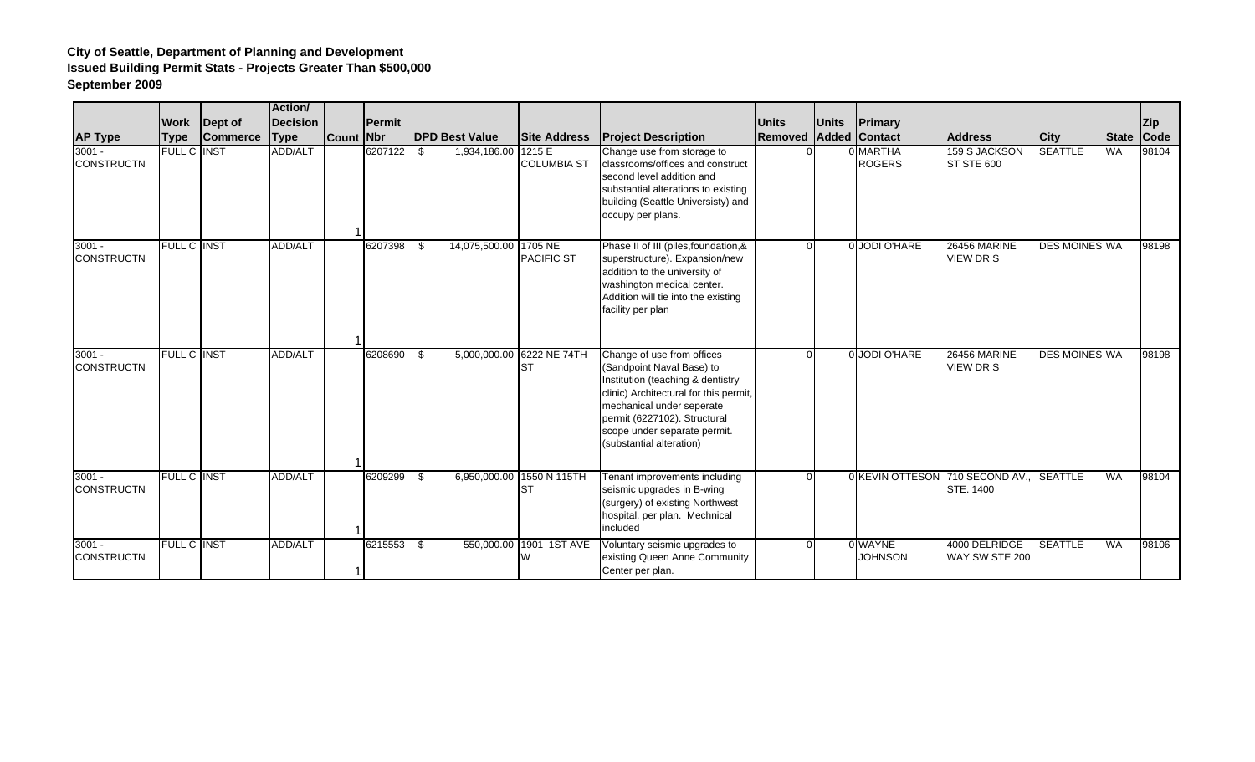|                               |                    |                 | Action/         |           |               |                       |                                        |                                                                                                                                                                                                                                                                 |                      |              |                           |                                         |                      |           |            |
|-------------------------------|--------------------|-----------------|-----------------|-----------|---------------|-----------------------|----------------------------------------|-----------------------------------------------------------------------------------------------------------------------------------------------------------------------------------------------------------------------------------------------------------------|----------------------|--------------|---------------------------|-----------------------------------------|----------------------|-----------|------------|
|                               | <b>Work</b>        | Dept of         | <b>Decision</b> |           | <b>Permit</b> |                       |                                        |                                                                                                                                                                                                                                                                 | <b>Units</b>         | <b>Units</b> | Primary                   |                                         |                      |           | Zip        |
| <b>AP Type</b>                | <b>Type</b>        | <b>Commerce</b> | <b>Type</b>     | Count Nbr |               | <b>DPD Best Value</b> | <b>Site Address</b>                    | <b>Project Description</b>                                                                                                                                                                                                                                      | <b>Removed Added</b> |              | <b>Contact</b>            | <b>Address</b>                          | <b>City</b>          |           | State Code |
| $3001 -$<br><b>CONSTRUCTN</b> | <b>FULL C INST</b> |                 | ADD/ALT         |           | 6207122       | 1,934,186.00<br>\$    | 1215 E<br><b>COLUMBIA ST</b>           | Change use from storage to<br>classrooms/offices and construct<br>second level addition and<br>substantial alterations to existing<br>building (Seattle Universisty) and<br>occupy per plans.                                                                   |                      |              | 0 MARTHA<br><b>ROGERS</b> | 159 S JACKSON<br>ST STE 600             | <b>SEATTLE</b>       | <b>WA</b> | 98104      |
| $3001 -$<br><b>CONSTRUCTN</b> | <b>FULL C INST</b> |                 | ADD/ALT         |           | 6207398       | 14,075,500.00<br>\$   | 1705 NE<br><b>PACIFIC ST</b>           | Phase II of III (piles, foundation, &<br>superstructure). Expansion/new<br>addition to the university of<br>washington medical center.<br>Addition will tie into the existing<br>facility per plan                                                              | $\Omega$             |              | 0 JODI O'HARE             | <b>26456 MARINE</b><br><b>VIEW DR S</b> | <b>DES MOINES WA</b> |           | 98198      |
| $3001 -$<br><b>CONSTRUCTN</b> | FULL C INST        |                 | ADD/ALT         |           | 6208690       | \$                    | 5,000,000.00 6222 NE 74TH<br><b>ST</b> | Change of use from offices<br>(Sandpoint Naval Base) to<br>Institution (teaching & dentistry<br>clinic) Architectural for this permit,<br>mechanical under seperate<br>permit (6227102). Structural<br>scope under separate permit.<br>(substantial alteration) |                      |              | 0 JODI O'HARE             | 26456 MARINE<br><b>VIEW DR S</b>        | <b>DES MOINES WA</b> |           | 98198      |
| $3001 -$<br><b>CONSTRUCTN</b> | <b>FULL C INST</b> |                 | <b>ADD/ALT</b>  |           | 6209299       | \$                    | 6,950,000.00 1550 N 115TH<br><b>ST</b> | Tenant improvements including<br>seismic upgrades in B-wing<br>(surgery) of existing Northwest<br>hospital, per plan. Mechnical<br>included                                                                                                                     | $\Omega$             |              | 0 KEVIN OTTESON           | 710 SECOND AV., SEATTLE<br>STE. 1400    |                      | <b>WA</b> | 98104      |
| $3001 -$<br><b>CONSTRUCTN</b> | FULL C INST        |                 | ADD/ALT         |           | 6215553       | \$<br>550,000.00      | 1901 1ST AVE<br>W                      | Voluntary seismic upgrades to<br>existing Queen Anne Community<br>Center per plan.                                                                                                                                                                              | $\Omega$             |              | 0 WAYNE<br><b>JOHNSON</b> | 4000 DELRIDGE<br>WAY SW STE 200         | <b>SEATTLE</b>       | <b>WA</b> | 98106      |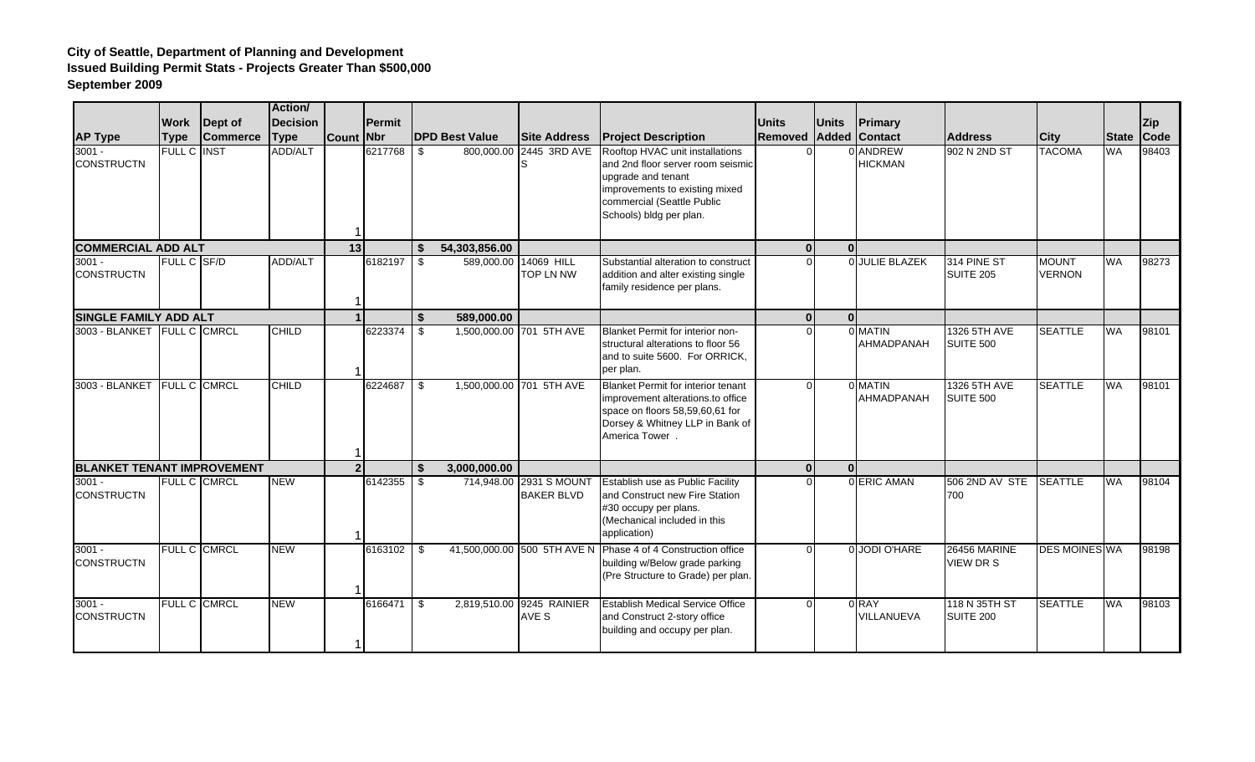|                                   |                    |                     | Action/         |           |               |                       |                                              |                                                                                                                                                                                       |                              |              |                            |                                         |                               |           |            |
|-----------------------------------|--------------------|---------------------|-----------------|-----------|---------------|-----------------------|----------------------------------------------|---------------------------------------------------------------------------------------------------------------------------------------------------------------------------------------|------------------------------|--------------|----------------------------|-----------------------------------------|-------------------------------|-----------|------------|
|                                   | <b>Work</b>        | Dept of             | <b>Decision</b> |           | <b>Permit</b> |                       |                                              |                                                                                                                                                                                       | <b>Units</b>                 | <b>Units</b> | Primary                    |                                         |                               |           | Zip        |
| <b>AP Type</b>                    | <b>Type</b>        | <b>Commerce</b>     | <b>Type</b>     | Count Nbr |               | <b>DPD Best Value</b> | <b>Site Address</b>                          | <b>Project Description</b>                                                                                                                                                            | <b>Removed Added Contact</b> |              |                            | <b>Address</b>                          | <b>City</b>                   |           | State Code |
| $3001 -$<br><b>CONSTRUCTN</b>     | <b>FULL C INST</b> |                     | ADD/ALT         |           | 6217768       | \$                    | 800,000.00 2445 3RD AVE                      | Rooftop HVAC unit installations<br>and 2nd floor server room seismic<br>upgrade and tenant<br>improvements to existing mixed<br>commercial (Seattle Public<br>Schools) bldg per plan. |                              |              | 0 ANDREW<br><b>HICKMAN</b> | 902 N 2ND ST                            | <b>TACOMA</b>                 | WA        | 98403      |
| <b>COMMERCIAL ADD ALT</b>         |                    |                     |                 | 13        |               | 54,303,856.00<br>Ŝ.   |                                              |                                                                                                                                                                                       | $\mathbf{0}$                 | $\Omega$     |                            |                                         |                               |           |            |
| $3001 -$<br><b>CONSTRUCTN</b>     | FULL C SF/D        |                     | <b>ADD/ALT</b>  |           | 6182197       | 589,000.00<br>\$      | 14069 HILL<br><b>TOP LN NW</b>               | Substantial alteration to construct<br>addition and alter existing single<br>family residence per plans.                                                                              |                              |              | 0 JULIE BLAZEK             | 314 PINE ST<br>SUITE 205                | <b>MOUNT</b><br><b>VERNON</b> | <b>WA</b> | 98273      |
| <b>SINGLE FAMILY ADD ALT</b>      |                    |                     |                 |           |               | 589,000.00<br>\$      |                                              |                                                                                                                                                                                       | $\mathbf{0}$                 | $\mathbf{0}$ |                            |                                         |                               |           |            |
| 3003 - BLANKET FULL C CMRCL       |                    |                     | <b>CHILD</b>    |           | 6223374       | -S                    | 1,500,000.00 701 5TH AVE                     | Blanket Permit for interior non-<br>structural alterations to floor 56<br>and to suite 5600. For ORRICK,<br>per plan.                                                                 |                              |              | 0 MATIN<br>AHMADPANAH      | 1326 5TH AVE<br>SUITE 500               | <b>SEATTLE</b>                | <b>WA</b> | 98101      |
| 3003 - BLANKET                    |                    | <b>FULL C CMRCL</b> | <b>CHILD</b>    |           | 6224687       | \$                    | 1,500,000.00 701 5TH AVE                     | <b>Blanket Permit for interior tenant</b><br>improvement alterations.to office<br>space on floors 58,59,60,61 for<br>Dorsey & Whitney LLP in Bank of<br>America Tower.                | $\Omega$                     |              | 0 MATIN<br>AHMADPANAH      | 1326 5TH AVE<br>SUITE 500               | <b>SEATTLE</b>                | <b>WA</b> | 98101      |
| <b>BLANKET TENANT IMPROVEMENT</b> |                    |                     |                 |           |               | \$<br>3,000,000.00    |                                              |                                                                                                                                                                                       | $\Omega$                     | $\mathbf{0}$ |                            |                                         |                               |           |            |
| $3001 -$<br><b>CONSTRUCTN</b>     |                    | FULL C CMRCL        | <b>NEW</b>      |           | 6142355       | \$                    | 714,948.00 2931 S MOUNT<br><b>BAKER BLVD</b> | Establish use as Public Facility<br>and Construct new Fire Station<br>#30 occupy per plans.<br>(Mechanical included in this<br>application)                                           |                              |              | 0 ERIC AMAN                | 506 2ND AV STE<br>700                   | <b>SEATTLE</b>                | <b>WA</b> | 98104      |
| $3001 -$<br><b>CONSTRUCTN</b>     |                    | <b>FULL C CMRCL</b> | <b>NEW</b>      |           | 6163102 \$    |                       | 41,500,000.00 500 5TH AVE N                  | Phase 4 of 4 Construction office<br>building w/Below grade parking<br>(Pre Structure to Grade) per plan.                                                                              | $\Omega$                     |              | 0 JODI O'HARE              | <b>26456 MARINE</b><br><b>VIEW DR S</b> | <b>DES MOINES WA</b>          |           | 98198      |
| $3001 -$<br><b>CONSTRUCTN</b>     |                    | <b>FULL C CMRCL</b> | <b>NEW</b>      |           | 6166471 \$    |                       | 2,819,510.00 9245 RAINIER<br>AVE S           | <b>Establish Medical Service Office</b><br>and Construct 2-story office<br>building and occupy per plan.                                                                              |                              |              | 0 RAY<br>VILLANUEVA        | 118 N 35TH ST<br>SUITE 200              | <b>SEATTLE</b>                | <b>WA</b> | 98103      |